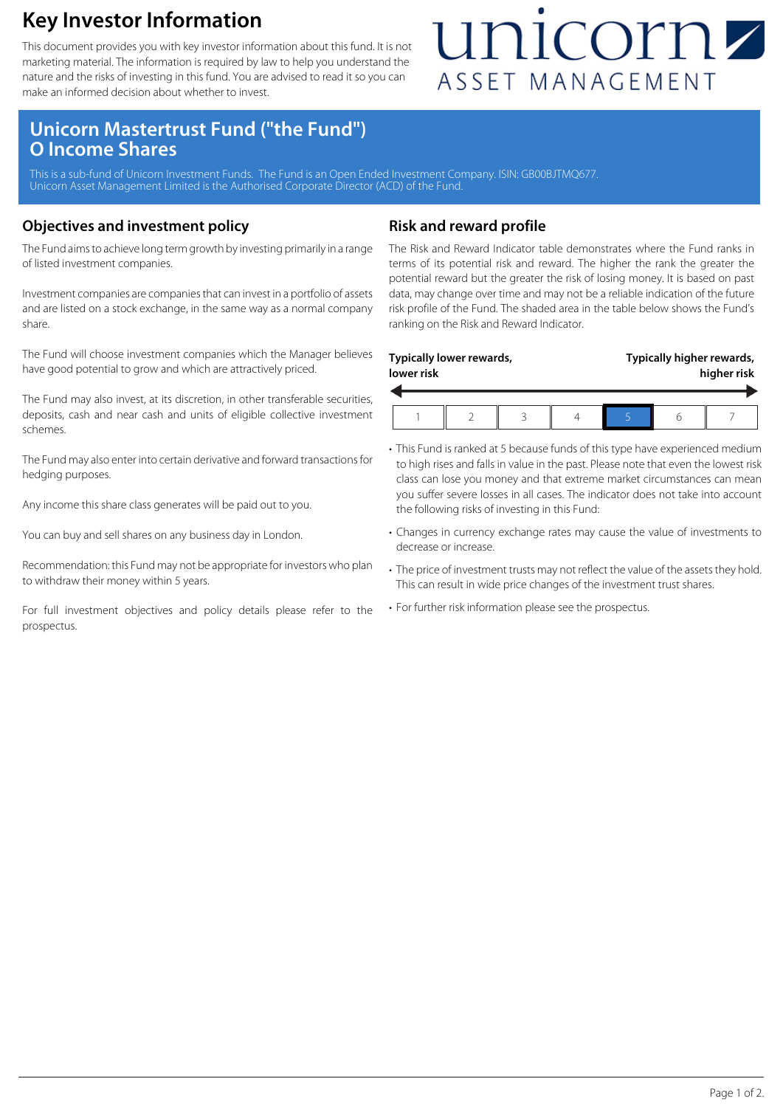### **Key Investor Information**

This document provides you with key investor information about this fund. It is not marketing material. The information is required by law to help you understand the nature and the risks of investing in this fund. You are advised to read it so you can make an informed decision about whether to invest.

## unicornz ASSET MANAGEMENT

### **Unicorn Mastertrust Fund ("the Fund") O Income Shares**

This is a sub-fund of Unicorn Investment Funds. The Fund is an Open Ended Investment Company. ISIN: GB00BJTMQ677 Unicorn Asset Management Limited is the Authorised Corporate Director (ACD) of the Fund.

#### **Objectives and investment policy**

The Fund aims to achieve long term growth by investing primarily in a range of listed investment companies.

Investment companies are companies that can invest in a portfolio of assets and are listed on a stock exchange, in the same way as a normal company share.

The Fund will choose investment companies which the Manager believes have good potential to grow and which are attractively priced.

The Fund may also invest, at its discretion, in other transferable securities, deposits, cash and near cash and units of eligible collective investment schemes.

The Fund may also enter into certain derivative and forward transactions for hedging purposes.

Any income this share class generates will be paid out to you.

You can buy and sell shares on any business day in London.

Recommendation: this Fund may not be appropriate for investors who plan to withdraw their money within 5 years.

For full investment objectives and policy details please refer to the prospectus.

#### **Risk and reward profile**

The Risk and Reward Indicator table demonstrates where the Fund ranks in terms of its potential risk and reward. The higher the rank the greater the potential reward but the greater the risk of losing money. It is based on past data, may change over time and may not be a reliable indication of the future risk profile of the Fund. The shaded area in the table below shows the Fund's ranking on the Risk and Reward Indicator.

| lower risk | Typically lower rewards, |  | Typically higher rewards,<br>higher risk |  |  |
|------------|--------------------------|--|------------------------------------------|--|--|
|            |                          |  |                                          |  |  |

- This Fund is ranked at 5 because funds of this type have experienced medium to high rises and falls in value in the past. Please note that even the lowest risk class can lose you money and that extreme market circumstances can mean you suffer severe losses in all cases. The indicator does not take into account the following risks of investing in this Fund:
- Changes in currency exchange rates may cause the value of investments to decrease or increase.
- The price of investment trusts may not reflect the value of the assets they hold. This can result in wide price changes of the investment trust shares.
- For further risk information please see the prospectus.